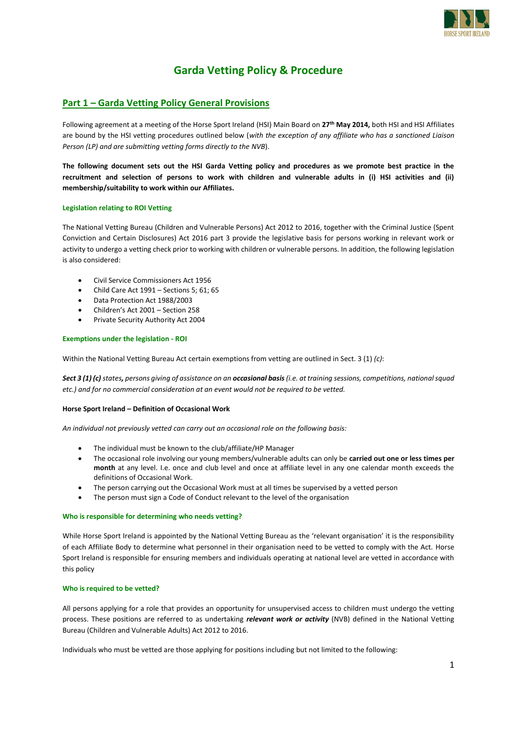

# **Garda Vetting Policy & Procedure**

# **Part 1 – Garda Vetting Policy General Provisions**

Following agreement at a meeting of the Horse Sport Ireland (HSI) Main Board on **27th May 2014,** both HSI and HSI Affiliates are bound by the HSI vetting procedures outlined below (*with the exception of any affiliate who has a sanctioned Liaison Person (LP) and are submitting vetting forms directly to the NVB*).

**The following document sets out the HSI Garda Vetting policy and procedures as we promote best practice in the recruitment and selection of persons to work with children and vulnerable adults in (i) HSI activities and (ii) membership/suitability to work within our Affiliates.**

## **Legislation relating to ROI Vetting**

The National Vetting Bureau (Children and Vulnerable Persons) Act 2012 to 2016, together with the Criminal Justice (Spent Conviction and Certain Disclosures) Act 2016 part 3 provide the legislative basis for persons working in relevant work or activity to undergo a vetting check prior to working with children or vulnerable persons. In addition, the following legislation is also considered:

- Civil Service Commissioners Act 1956
- Child Care Act 1991 Sections 5; 61; 65
- Data Protection Act 1988/2003
- Children's Act 2001 Section 258
- Private Security Authority Act 2004

## **Exemptions under the legislation - ROI**

Within the National Vetting Bureau Act certain exemptions from vetting are outlined in Sect. 3 (1) *(c)*:

*Sect 3 (1) (c) states, persons giving of assistance on an occasional basis (i.e. at training sessions, competitions, national squad etc.) and for no commercial consideration at an event would not be required to be vetted.*

## **Horse Sport Ireland – Definition of Occasional Work**

*An individual not previously vetted can carry out an occasional role on the following basis:*

- The individual must be known to the club/affiliate/HP Manager
- The occasional role involving our young members/vulnerable adults can only be **carried out one or less times per month** at any level. I.e. once and club level and once at affiliate level in any one calendar month exceeds the definitions of Occasional Work.
- The person carrying out the Occasional Work must at all times be supervised by a vetted person
- The person must sign a Code of Conduct relevant to the level of the organisation

#### **Who is responsible for determining who needs vetting?**

While Horse Sport Ireland is appointed by the National Vetting Bureau as the 'relevant organisation' it is the responsibility of each Affiliate Body to determine what personnel in their organisation need to be vetted to comply with the Act. Horse Sport Ireland is responsible for ensuring members and individuals operating at national level are vetted in accordance with this policy

#### **Who is required to be vetted?**

All persons applying for a role that provides an opportunity for unsupervised access to children must undergo the vetting process. These positions are referred to as undertaking *relevant work or activity* (NVB) defined in the National Vetting Bureau (Children and Vulnerable Adults) Act 2012 to 2016.

Individuals who must be vetted are those applying for positions including but not limited to the following: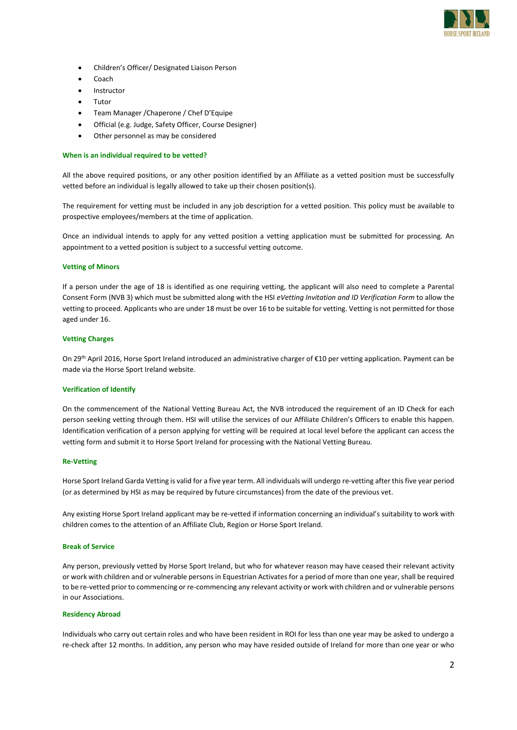

- Children's Officer/ Designated Liaison Person
- Coach
- Instructor
- Tutor
- Team Manager /Chaperone / Chef D'Equipe
- Official (e.g. Judge, Safety Officer, Course Designer)
- Other personnel as may be considered

#### **When is an individual required to be vetted?**

All the above required positions, or any other position identified by an Affiliate as a vetted position must be successfully vetted before an individual is legally allowed to take up their chosen position(s).

The requirement for vetting must be included in any job description for a vetted position. This policy must be available to prospective employees/members at the time of application.

Once an individual intends to apply for any vetted position a vetting application must be submitted for processing. An appointment to a vetted position is subject to a successful vetting outcome.

#### **Vetting of Minors**

If a person under the age of 18 is identified as one requiring vetting, the applicant will also need to complete a Parental Consent Form (NVB 3) which must be submitted along with the HSI *eVetting Invitation and ID Verification Form* to allow the vetting to proceed. Applicants who are under 18 must be over 16 to be suitable for vetting. Vetting is not permitted for those aged under 16.

#### **Vetting Charges**

On 29th April 2016, Horse Sport Ireland introduced an administrative charger of €10 per vetting application. Payment can be made via the Horse Sport Ireland website.

#### **Verification of Identify**

On the commencement of the National Vetting Bureau Act, the NVB introduced the requirement of an ID Check for each person seeking vetting through them. HSI will utilise the services of our Affiliate Children's Officers to enable this happen. Identification verification of a person applying for vetting will be required at local level before the applicant can access the vetting form and submit it to Horse Sport Ireland for processing with the National Vetting Bureau.

#### **Re-Vetting**

Horse Sport Ireland Garda Vetting is valid for a five year term. All individuals will undergo re-vetting after this five year period (or as determined by HSI as may be required by future circumstances) from the date of the previous vet.

Any existing Horse Sport Ireland applicant may be re-vetted if information concerning an individual's suitability to work with children comes to the attention of an Affiliate Club, Region or Horse Sport Ireland.

#### **Break of Service**

Any person, previously vetted by Horse Sport Ireland, but who for whatever reason may have ceased their relevant activity or work with children and or vulnerable persons in Equestrian Activates for a period of more than one year, shall be required to be re-vetted prior to commencing or re-commencing any relevant activity or work with children and or vulnerable persons in our Associations.

#### **Residency Abroad**

Individuals who carry out certain roles and who have been resident in ROI for less than one year may be asked to undergo a re-check after 12 months. In addition, any person who may have resided outside of Ireland for more than one year or who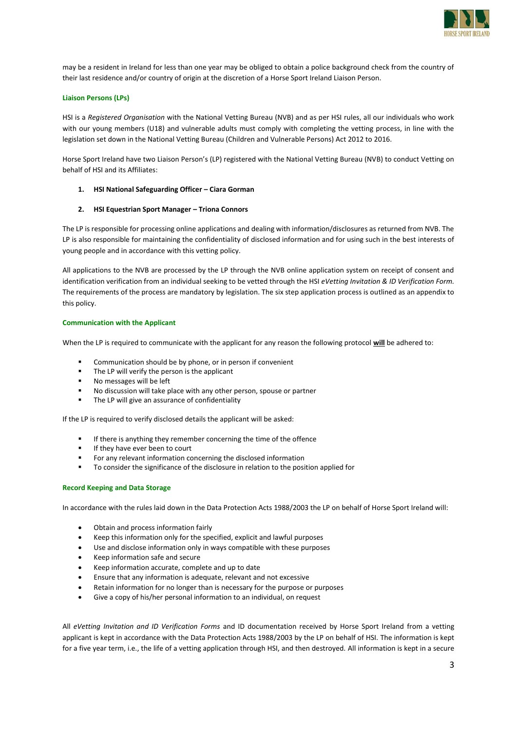

may be a resident in Ireland for less than one year may be obliged to obtain a police background check from the country of their last residence and/or country of origin at the discretion of a Horse Sport Ireland Liaison Person.

## **Liaison Persons (LPs)**

HSI is a *Registered Organisation* with the National Vetting Bureau (NVB) and as per HSI rules, all our individuals who work with our young members (U18) and vulnerable adults must comply with completing the vetting process, in line with the legislation set down in the National Vetting Bureau (Children and Vulnerable Persons) Act 2012 to 2016.

Horse Sport Ireland have two Liaison Person's (LP) registered with the National Vetting Bureau (NVB) to conduct Vetting on behalf of HSI and its Affiliates:

#### **1. HSI National Safeguarding Officer – Ciara Gorman**

#### **2. HSI Equestrian Sport Manager – Triona Connors**

The LP is responsible for processing online applications and dealing with information/disclosures as returned from NVB. The LP is also responsible for maintaining the confidentiality of disclosed information and for using such in the best interests of young people and in accordance with this vetting policy.

All applications to the NVB are processed by the LP through the NVB online application system on receipt of consent and identification verification from an individual seeking to be vetted through the HSI *eVetting Invitation & ID Verification Form.* The requirements of the process are mandatory by legislation. The six step application process is outlined as an appendix to this policy.

#### **Communication with the Applicant**

When the LP is required to communicate with the applicant for any reason the following protocol **will** be adhered to:

- Communication should be by phone, or in person if convenient
- The LP will verify the person is the applicant
- No messages will be left
- No discussion will take place with any other person, spouse or partner
- The LP will give an assurance of confidentiality

If the LP is required to verify disclosed details the applicant will be asked:

- If there is anything they remember concerning the time of the offence
- If they have ever been to court
- For any relevant information concerning the disclosed information
- To consider the significance of the disclosure in relation to the position applied for

#### **Record Keeping and Data Storage**

In accordance with the rules laid down in the Data Protection Acts 1988/2003 the LP on behalf of Horse Sport Ireland will:

- Obtain and process information fairly
- Keep this information only for the specified, explicit and lawful purposes
- Use and disclose information only in ways compatible with these purposes
- Keep information safe and secure
- Keep information accurate, complete and up to date
- Ensure that any information is adequate, relevant and not excessive
- Retain information for no longer than is necessary for the purpose or purposes
- Give a copy of his/her personal information to an individual, on request

All *eVetting Invitation and ID Verification Forms* and ID documentation received by Horse Sport Ireland from a vetting applicant is kept in accordance with the Data Protection Acts 1988/2003 by the LP on behalf of HSI. The information is kept for a five year term, i.e., the life of a vetting application through HSI, and then destroyed. All information is kept in a secure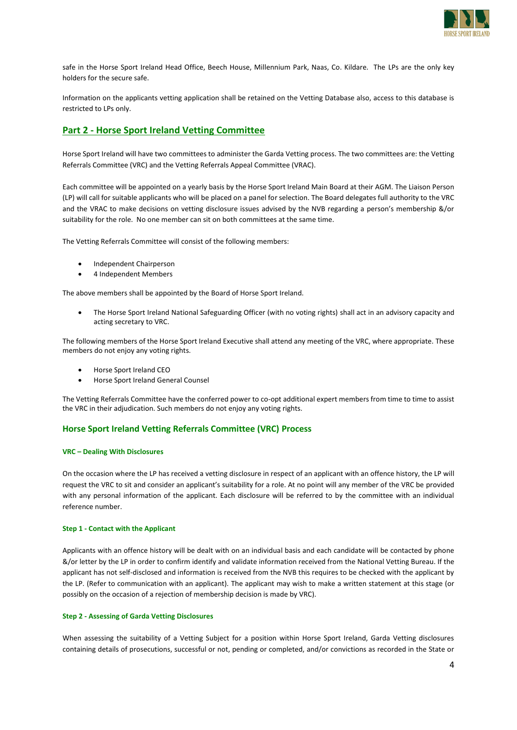

safe in the Horse Sport Ireland Head Office, Beech House, Millennium Park, Naas, Co. Kildare. The LPs are the only key holders for the secure safe.

Information on the applicants vetting application shall be retained on the Vetting Database also, access to this database is restricted to LPs only.

# **Part 2 - Horse Sport Ireland Vetting Committee**

Horse Sport Ireland will have two committees to administer the Garda Vetting process. The two committees are: the Vetting Referrals Committee (VRC) and the Vetting Referrals Appeal Committee (VRAC).

Each committee will be appointed on a yearly basis by the Horse Sport Ireland Main Board at their AGM. The Liaison Person (LP) will call for suitable applicants who will be placed on a panel for selection. The Board delegates full authority to the VRC and the VRAC to make decisions on vetting disclosure issues advised by the NVB regarding a person's membership &/or suitability for the role. No one member can sit on both committees at the same time.

The Vetting Referrals Committee will consist of the following members:

- Independent Chairperson
- 4 Independent Members

The above members shall be appointed by the Board of Horse Sport Ireland.

 The Horse Sport Ireland National Safeguarding Officer (with no voting rights) shall act in an advisory capacity and acting secretary to VRC.

The following members of the Horse Sport Ireland Executive shall attend any meeting of the VRC, where appropriate. These members do not enjoy any voting rights.

- Horse Sport Ireland CEO
- Horse Sport Ireland General Counsel

The Vetting Referrals Committee have the conferred power to co-opt additional expert members from time to time to assist the VRC in their adjudication. Such members do not enjoy any voting rights.

## **Horse Sport Ireland Vetting Referrals Committee (VRC) Process**

#### **VRC – Dealing With Disclosures**

On the occasion where the LP has received a vetting disclosure in respect of an applicant with an offence history, the LP will request the VRC to sit and consider an applicant's suitability for a role. At no point will any member of the VRC be provided with any personal information of the applicant. Each disclosure will be referred to by the committee with an individual reference number.

#### **Step 1 - Contact with the Applicant**

Applicants with an offence history will be dealt with on an individual basis and each candidate will be contacted by phone &/or letter by the LP in order to confirm identify and validate information received from the National Vetting Bureau. If the applicant has not self-disclosed and information is received from the NVB this requires to be checked with the applicant by the LP. (Refer to communication with an applicant). The applicant may wish to make a written statement at this stage (or possibly on the occasion of a rejection of membership decision is made by VRC).

#### **Step 2 - Assessing of Garda Vetting Disclosures**

When assessing the suitability of a Vetting Subject for a position within Horse Sport Ireland, Garda Vetting disclosures containing details of prosecutions, successful or not, pending or completed, and/or convictions as recorded in the State or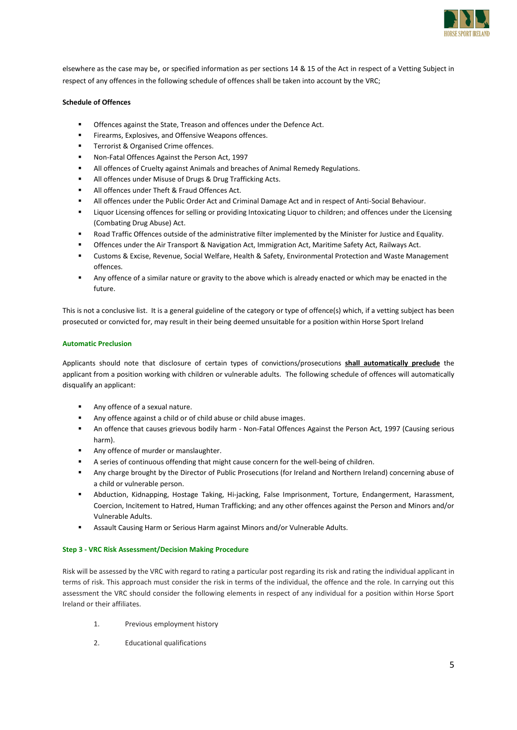

elsewhere as the case may be, or specified information as per sections 14 & 15 of the Act in respect of a Vetting Subject in respect of any offences in the following schedule of offences shall be taken into account by the VRC;

## **Schedule of Offences**

- Offences against the State, Treason and offences under the Defence Act.
- Firearms, Explosives, and Offensive Weapons offences.
- Terrorist & Organised Crime offences.
- Non-Fatal Offences Against the Person Act, 1997
- All offences of Cruelty against Animals and breaches of Animal Remedy Regulations.
- All offences under Misuse of Drugs & Drug Trafficking Acts.
- All offences under Theft & Fraud Offences Act.
- All offences under the Public Order Act and Criminal Damage Act and in respect of Anti-Social Behaviour.
- Liquor Licensing offences for selling or providing Intoxicating Liquor to children; and offences under the Licensing (Combating Drug Abuse) Act.
- Road Traffic Offences outside of the administrative filter implemented by the Minister for Justice and Equality.
- Offences under the Air Transport & Navigation Act, Immigration Act, Maritime Safety Act, Railways Act.
- Customs & Excise, Revenue, Social Welfare, Health & Safety, Environmental Protection and Waste Management offences.
- Any offence of a similar nature or gravity to the above which is already enacted or which may be enacted in the future.

This is not a conclusive list. It is a general guideline of the category or type of offence(s) which, if a vetting subject has been prosecuted or convicted for, may result in their being deemed unsuitable for a position within Horse Sport Ireland

## **Automatic Preclusion**

Applicants should note that disclosure of certain types of convictions/prosecutions **shall automatically preclude** the applicant from a position working with children or vulnerable adults. The following schedule of offences will automatically disqualify an applicant:

- Any offence of a sexual nature.
- Any offence against a child or of child abuse or child abuse images.
- An offence that causes grievous bodily harm Non-Fatal Offences Against the Person Act, 1997 (Causing serious harm).
- Any offence of murder or manslaughter.
- A series of continuous offending that might cause concern for the well-being of children.
- Any charge brought by the Director of Public Prosecutions (for Ireland and Northern Ireland) concerning abuse of a child or vulnerable person.
- Abduction, Kidnapping, Hostage Taking, Hi-jacking, False Imprisonment, Torture, Endangerment, Harassment, Coercion, Incitement to Hatred, Human Trafficking; and any other offences against the Person and Minors and/or Vulnerable Adults.
- Assault Causing Harm or Serious Harm against Minors and/or Vulnerable Adults.

## **Step 3 - VRC Risk Assessment/Decision Making Procedure**

Risk will be assessed by the VRC with regard to rating a particular post regarding its risk and rating the individual applicant in terms of risk. This approach must consider the risk in terms of the individual, the offence and the role. In carrying out this assessment the VRC should consider the following elements in respect of any individual for a position within Horse Sport Ireland or their affiliates.

- 1. Previous employment history
- 2. Educational qualifications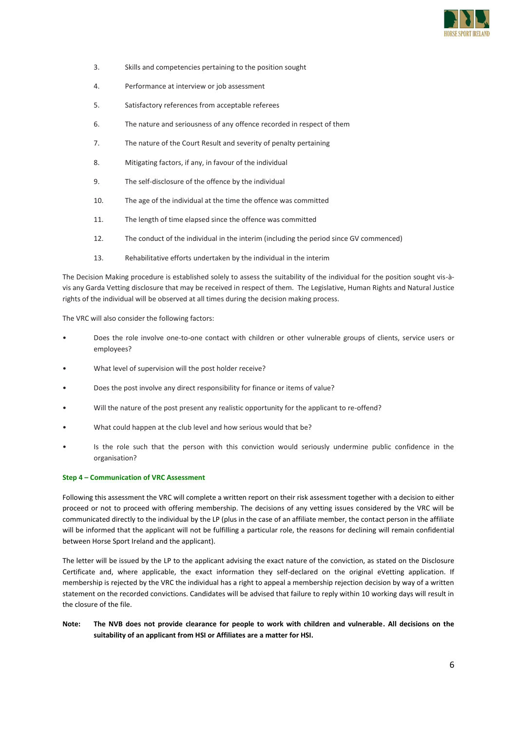

- 3. Skills and competencies pertaining to the position sought
- 4. Performance at interview or job assessment
- 5. Satisfactory references from acceptable referees
- 6. The nature and seriousness of any offence recorded in respect of them
- 7. The nature of the Court Result and severity of penalty pertaining
- 8. Mitigating factors, if any, in favour of the individual
- 9. The self-disclosure of the offence by the individual
- 10. The age of the individual at the time the offence was committed
- 11. The length of time elapsed since the offence was committed
- 12. The conduct of the individual in the interim (including the period since GV commenced)
- 13. Rehabilitative efforts undertaken by the individual in the interim

The Decision Making procedure is established solely to assess the suitability of the individual for the position sought vis-àvis any Garda Vetting disclosure that may be received in respect of them. The Legislative, Human Rights and Natural Justice rights of the individual will be observed at all times during the decision making process.

The VRC will also consider the following factors:

- Does the role involve one-to-one contact with children or other vulnerable groups of clients, service users or employees?
- What level of supervision will the post holder receive?
- Does the post involve any direct responsibility for finance or items of value?
- Will the nature of the post present any realistic opportunity for the applicant to re-offend?
- What could happen at the club level and how serious would that be?
- Is the role such that the person with this conviction would seriously undermine public confidence in the organisation?

### **Step 4 – Communication of VRC Assessment**

Following this assessment the VRC will complete a written report on their risk assessment together with a decision to either proceed or not to proceed with offering membership. The decisions of any vetting issues considered by the VRC will be communicated directly to the individual by the LP (plus in the case of an affiliate member, the contact person in the affiliate will be informed that the applicant will not be fulfilling a particular role, the reasons for declining will remain confidential between Horse Sport Ireland and the applicant).

The letter will be issued by the LP to the applicant advising the exact nature of the conviction, as stated on the Disclosure Certificate and, where applicable, the exact information they self-declared on the original eVetting application. If membership is rejected by the VRC the individual has a right to appeal a membership rejection decision by way of a written statement on the recorded convictions. Candidates will be advised that failure to reply within 10 working days will result in the closure of the file.

**Note: The NVB does not provide clearance for people to work with children and vulnerable. All decisions on the suitability of an applicant from HSI or Affiliates are a matter for HSI.**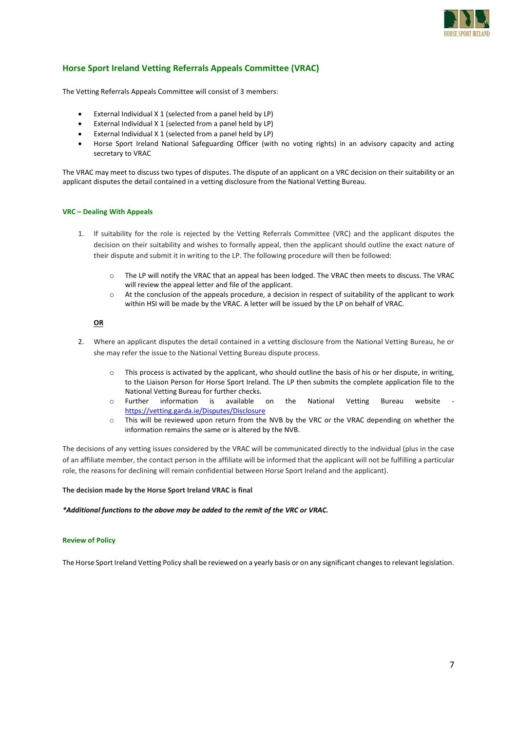

# **Horse Sport Ireland Vetting Referrals Appeals Committee (VRAC)**

The Vetting Referrals Appeals Committee will consist of 3 members:

- External Individual X 1 (selected from a panel held by LP)
- External Individual X 1 (selected from a panel held by LP)
- External Individual X 1 (selected from a panel held by LP)
- Horse Sport Ireland National Safeguarding Officer (with no voting rights) in an advisory capacity and acting secretary to VRAC

The VRAC may meet to discuss two types of disputes. The dispute of an applicant on a VRC decision on their suitability or an applicant disputes the detail contained in a vetting disclosure from the National Vetting Bureau.

#### **VRC – Dealing With Appeals**

- 1. If suitability for the role is rejected by the Vetting Referrals Committee (VRC) and the applicant disputes the decision on their suitability and wishes to formally appeal, then the applicant should outline the exact nature of their dispute and submit it in writing to the LP. The following procedure will then be followed:
	- o The LP will notify the VRAC that an appeal has been lodged. The VRAC then meets to discuss. The VRAC will review the appeal letter and file of the applicant.
	- o At the conclusion of the appeals procedure, a decision in respect of suitability of the applicant to work within HSI will be made by the VRAC. A letter will be issued by the LP on behalf of VRAC.

## **OR**

- 2. Where an applicant disputes the detail contained in a vetting disclosure from the National Vetting Bureau, he or she may refer the issue to the National Vetting Bureau dispute process.
	- $\circ$  This process is activated by the applicant, who should outline the basis of his or her dispute, in writing, to the Liaison Person for Horse Sport Ireland. The LP then submits the complete application file to the National Vetting Bureau for further checks.
	- o Further information is available on the National Vetting Bureau website <https://vetting.garda.ie/Disputes/Disclosure>
	- o This will be reviewed upon return from the NVB by the VRC or the VRAC depending on whether the information remains the same or is altered by the NVB.

The decisions of any vetting issues considered by the VRAC will be communicated directly to the individual (plus in the case of an affiliate member, the contact person in the affiliate will be informed that the applicant will not be fulfilling a particular role, the reasons for declining will remain confidential between Horse Sport Ireland and the applicant).

**The decision made by the Horse Sport Ireland VRAC is final**

*\*Additional functions to the above may be added to the remit of the VRC or VRAC.* 

#### **Review of Policy**

The Horse Sport Ireland Vetting Policy shall be reviewed on a yearly basis or on any significant changes to relevant legislation.